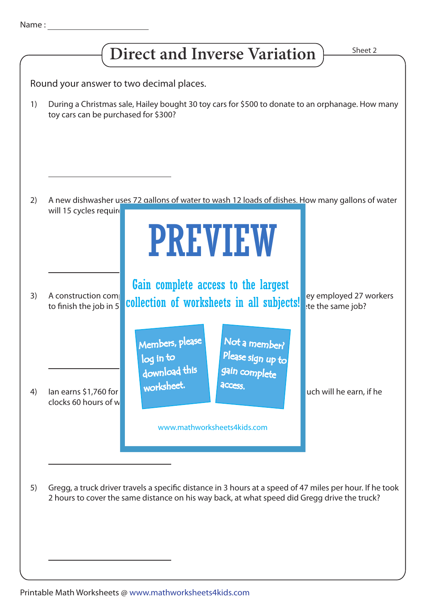| Name |  |  |  |
|------|--|--|--|
|      |  |  |  |
|      |  |  |  |



Printable Math Worksheets @ www.mathworksheets4kids.com